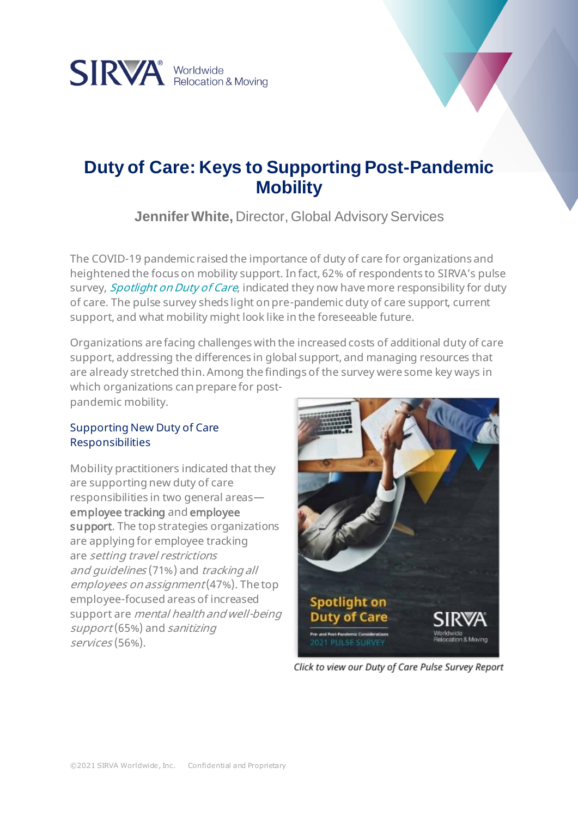

# **Duty of Care: Keys to Supporting Post-Pandemic Mobility**

**Jennifer White,** Director, Global Advisory Services

The COVID-19 pandemic raised the importance of duty of care for organizations and heightened the focus on mobility support. In fact, 62% of respondents to SIRVA's pulse survey, *[Spotlight on Duty of Care](https://www.sirva.com/docs/default-source/resources-docs/reports/2021/sirva_spotlightondutyofcare_surveyresults.pdf?sfvrsn=3d60cf64_38)*, indicated they now have more responsibility for duty of care. The pulse survey sheds light on pre-pandemic duty of care support, current support, and what mobility might look like in the foreseeable future.

Organizations are facing challenges with the increased costs of additional duty of care support, addressing the differences in global support, and managing resources that are already stretched thin. Among the findings of the survey were some key ways in which organizations can prepare for post-

pandemic mobility.

## Supporting New Duty of Care Responsibilities

Mobility practitioners indicated that they are supporting new duty of care responsibilities in two general areas employee tracking and employee support. The top strategies organizations are applying for employee tracking are setting travel restrictions and guidelines (71%) and tracking all employees on assignment (47%). The top employee-focused areas of increased support are mental health and well-being support (65%) and sanitizing services (56%).



Click to view our Duty of Care Pulse Survey Report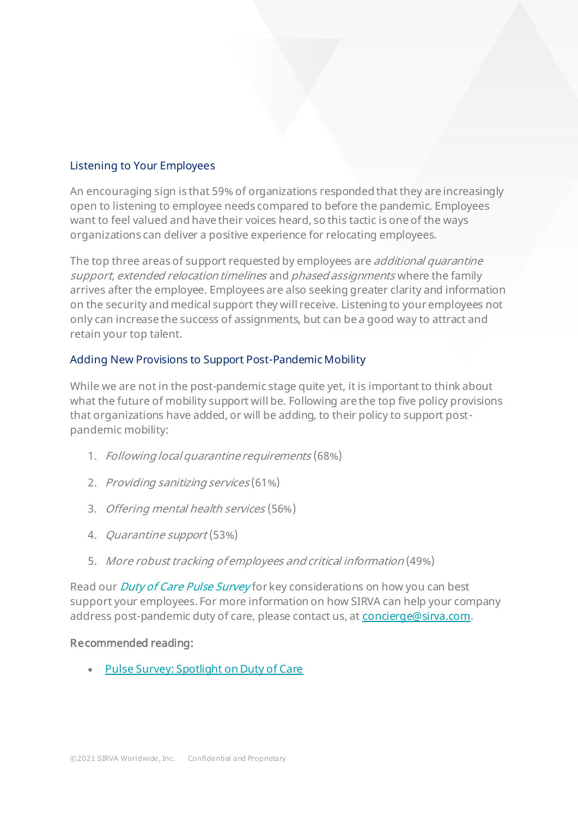## Listening to Your Employees

An encouraging sign is that 59% of organizations responded that they are increasingly open to listening to employee needs compared to before the pandemic. Employees want to feel valued and have their voices heard, so this tactic is one of the ways organizations can deliver a positive experience for relocating employees.

The top three areas of support requested by employees are *additional quarantine* support, extended relocation timelines and phased assignments where the family arrives after the employee. Employees are also seeking greater clarity and information on the security and medical support they will receive. Listening to your employees not only can increase the success of assignments, but can be a good way to attract and retain your top talent.

## Adding New Provisions to Support Post-Pandemic Mobility

While we are not in the post-pandemic stage quite yet, it is important to think about what the future of mobility support will be. Following are the top five policy provisions that organizations have added, or will be adding, to their policy to support postpandemic mobility:

- 1. Following local quarantine requirements (68%)
- 2. Providing sanitizing services (61%)
- 3. Offering mental health services (56%)
- 4. Quarantine support (53%)
- 5. More robust tracking of employees and critical information (49%)

Read our *[Duty of Care Pulse Survey](https://www.sirva.com/docs/default-source/resources-docs/reports/2021/sirva_spotlightondutyofcare_surveyresults.pdf?sfvrsn=3d60cf64_38)* for key considerations on how you can best support your employees. For more information on how SIRVA can help your company address post-pandemic duty of care, please contact us, at [concierge@sirva.com](mailto:concierge@sirva.com).

### Recommended reading:

• [Pulse Survey: Spotlight on Duty of Care](https://www.sirva.com/docs/default-source/resources-docs/reports/2021/sirva_spotlightondutyofcare_surveyresults.pdf?sfvrsn=3d60cf64_38)